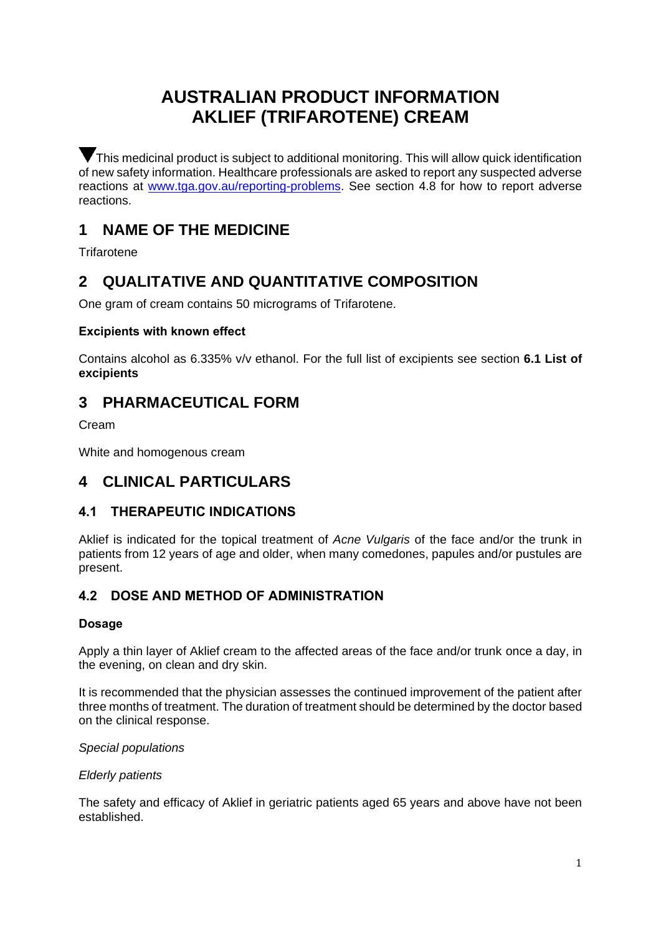# **AUSTRALIAN PRODUCT INFORMATION AKLIEF (TRIFAROTENE) CREAM**

This medicinal product is subject to additional monitoring. This will allow quick identification of new safety information. Healthcare professionals are asked to report any suspected adverse reactions at www.tga.gov.au/reporting-problems. See section 4.8 for how to report adverse reactions.

# **1 NAME OF THE MEDICINE**

**Trifarotene** 

# **2 QUALITATIVE AND QUANTITATIVE COMPOSITION**

One gram of cream contains 50 micrograms of Trifarotene.

## **Excipients with known effect**

Contains alcohol as 6.335% v/v ethanol. For the full list of excipients see section **6.1 List of excipients**

# **3 PHARMACEUTICAL FORM**

Cream

White and homogenous cream

# **4 CLINICAL PARTICULARS**

# **4.1 THERAPEUTIC INDICATIONS**

Aklief is indicated for the topical treatment of *Acne Vulgaris* of the face and/or the trunk in patients from 12 years of age and older, when many comedones, papules and/or pustules are present.

# **4.2 DOSE AND METHOD OF ADMINISTRATION**

## **Dosage**

Apply a thin layer of Aklief cream to the affected areas of the face and/or trunk once a day, in the evening, on clean and dry skin.

It is recommended that the physician assesses the continued improvement of the patient after three months of treatment. The duration of treatment should be determined by the doctor based on the clinical response.

### *Special populations*

### *Elderly patients*

The safety and efficacy of Aklief in geriatric patients aged 65 years and above have not been established.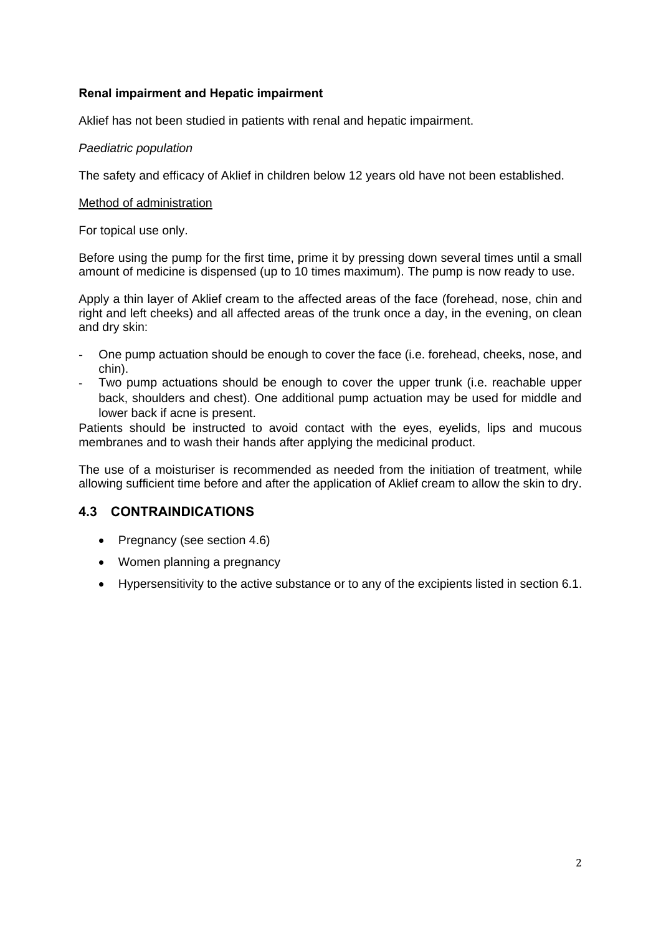#### **Renal impairment and Hepatic impairment**

Aklief has not been studied in patients with renal and hepatic impairment.

#### *Paediatric population*

The safety and efficacy of Aklief in children below 12 years old have not been established.

#### Method of administration

For topical use only.

Before using the pump for the first time, prime it by pressing down several times until a small amount of medicine is dispensed (up to 10 times maximum). The pump is now ready to use.

Apply a thin layer of Aklief cream to the affected areas of the face (forehead, nose, chin and right and left cheeks) and all affected areas of the trunk once a day, in the evening, on clean and dry skin:

- One pump actuation should be enough to cover the face (i.e. forehead, cheeks, nose, and chin).
- Two pump actuations should be enough to cover the upper trunk (i.e. reachable upper back, shoulders and chest). One additional pump actuation may be used for middle and lower back if acne is present.

Patients should be instructed to avoid contact with the eyes, eyelids, lips and mucous membranes and to wash their hands after applying the medicinal product.

The use of a moisturiser is recommended as needed from the initiation of treatment, while allowing sufficient time before and after the application of Aklief cream to allow the skin to dry.

### **4.3 CONTRAINDICATIONS**

- Pregnancy (see section 4.6)
- Women planning a pregnancy
- Hypersensitivity to the active substance or to any of the excipients listed in section 6.1.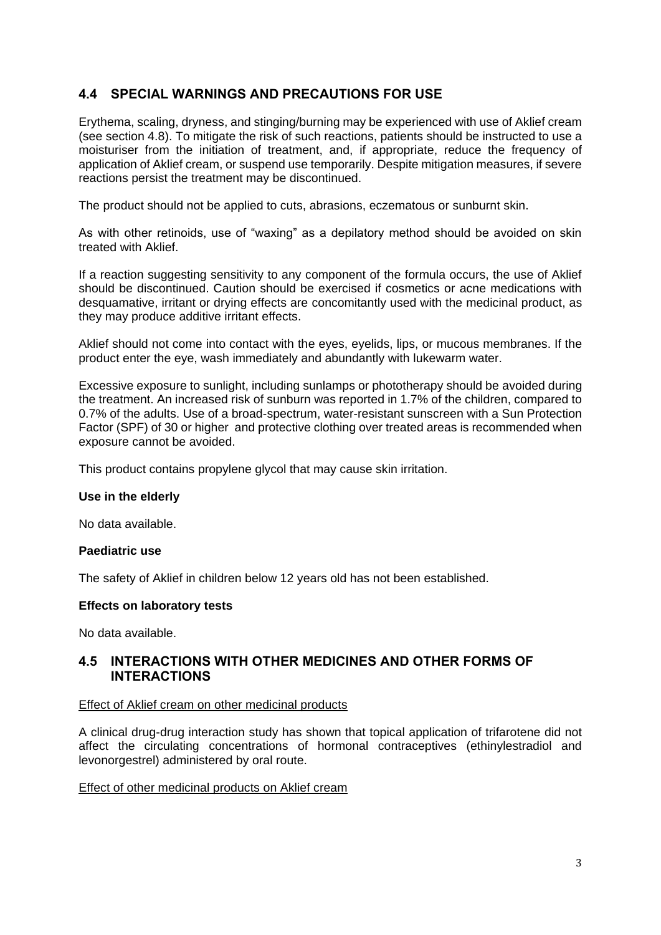## **4.4 SPECIAL WARNINGS AND PRECAUTIONS FOR USE**

Erythema, scaling, dryness, and stinging/burning may be experienced with use of Aklief cream (see section 4.8). To mitigate the risk of such reactions, patients should be instructed to use a moisturiser from the initiation of treatment, and, if appropriate, reduce the frequency of application of Aklief cream, or suspend use temporarily. Despite mitigation measures, if severe reactions persist the treatment may be discontinued.

The product should not be applied to cuts, abrasions, eczematous or sunburnt skin.

As with other retinoids, use of "waxing" as a depilatory method should be avoided on skin treated with Aklief.

If a reaction suggesting sensitivity to any component of the formula occurs, the use of Aklief should be discontinued. Caution should be exercised if cosmetics or acne medications with desquamative, irritant or drying effects are concomitantly used with the medicinal product, as they may produce additive irritant effects.

Aklief should not come into contact with the eyes, eyelids, lips, or mucous membranes. If the product enter the eye, wash immediately and abundantly with lukewarm water.

Excessive exposure to sunlight, including sunlamps or phototherapy should be avoided during the treatment. An increased risk of sunburn was reported in 1.7% of the children, compared to 0.7% of the adults. Use of a broad-spectrum, water-resistant sunscreen with a Sun Protection Factor (SPF) of 30 or higher and protective clothing over treated areas is recommended when exposure cannot be avoided.

This product contains propylene glycol that may cause skin irritation.

#### **Use in the elderly**

No data available.

#### **Paediatric use**

The safety of Aklief in children below 12 years old has not been established.

#### **Effects on laboratory tests**

No data available.

#### **4.5 INTERACTIONS WITH OTHER MEDICINES AND OTHER FORMS OF INTERACTIONS**

#### Effect of Aklief cream on other medicinal products

A clinical drug-drug interaction study has shown that topical application of trifarotene did not affect the circulating concentrations of hormonal contraceptives (ethinylestradiol and levonorgestrel) administered by oral route.

#### Effect of other medicinal products on Aklief cream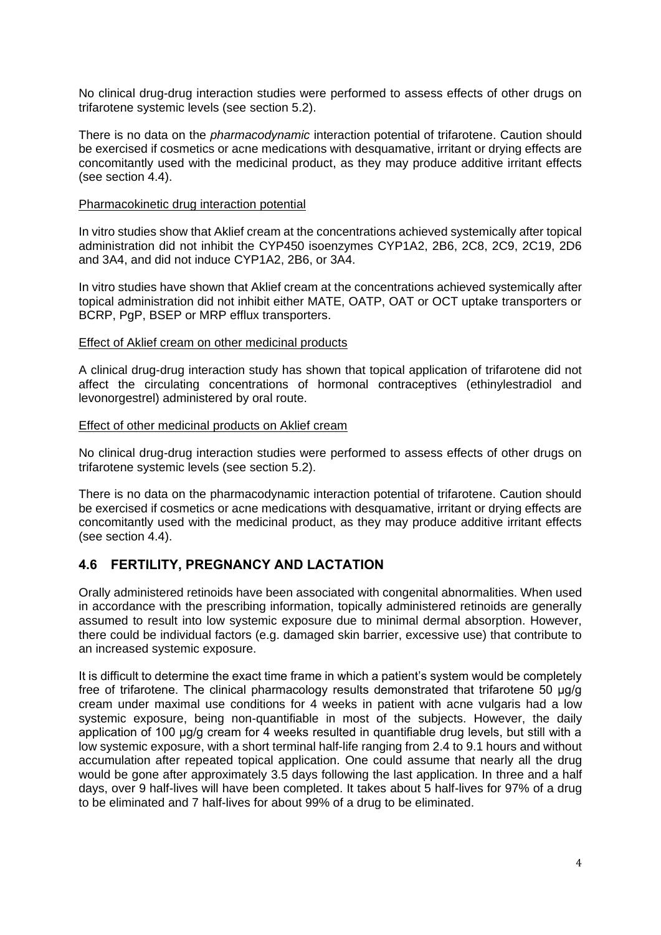No clinical drug-drug interaction studies were performed to assess effects of other drugs on trifarotene systemic levels (see section 5.2).

There is no data on the *pharmacodynamic* interaction potential of trifarotene. Caution should be exercised if cosmetics or acne medications with desquamative, irritant or drying effects are concomitantly used with the medicinal product, as they may produce additive irritant effects (see section 4.4).

#### Pharmacokinetic drug interaction potential

In vitro studies show that Aklief cream at the concentrations achieved systemically after topical administration did not inhibit the CYP450 isoenzymes CYP1A2, 2B6, 2C8, 2C9, 2C19, 2D6 and 3A4, and did not induce CYP1A2, 2B6, or 3A4.

In vitro studies have shown that Aklief cream at the concentrations achieved systemically after topical administration did not inhibit either MATE, OATP, OAT or OCT uptake transporters or BCRP, PgP, BSEP or MRP efflux transporters.

#### Effect of Aklief cream on other medicinal products

A clinical drug-drug interaction study has shown that topical application of trifarotene did not affect the circulating concentrations of hormonal contraceptives (ethinylestradiol and levonorgestrel) administered by oral route.

#### Effect of other medicinal products on Aklief cream

No clinical drug-drug interaction studies were performed to assess effects of other drugs on trifarotene systemic levels (see section 5.2).

There is no data on the pharmacodynamic interaction potential of trifarotene. Caution should be exercised if cosmetics or acne medications with desquamative, irritant or drying effects are concomitantly used with the medicinal product, as they may produce additive irritant effects (see section 4.4).

## **4.6 FERTILITY, PREGNANCY AND LACTATION**

Orally administered retinoids have been associated with congenital abnormalities. When used in accordance with the prescribing information, topically administered retinoids are generally assumed to result into low systemic exposure due to minimal dermal absorption. However, there could be individual factors (e.g. damaged skin barrier, excessive use) that contribute to an increased systemic exposure.

It is difficult to determine the exact time frame in which a patient's system would be completely free of trifarotene. The clinical pharmacology results demonstrated that trifarotene 50 μg/g cream under maximal use conditions for 4 weeks in patient with acne vulgaris had a low systemic exposure, being non-quantifiable in most of the subjects. However, the daily application of 100 μg/g cream for 4 weeks resulted in quantifiable drug levels, but still with a low systemic exposure, with a short terminal half-life ranging from 2.4 to 9.1 hours and without accumulation after repeated topical application. One could assume that nearly all the drug would be gone after approximately 3.5 days following the last application. In three and a half days, over 9 half-lives will have been completed. It takes about 5 half-lives for 97% of a drug to be eliminated and 7 half-lives for about 99% of a drug to be eliminated.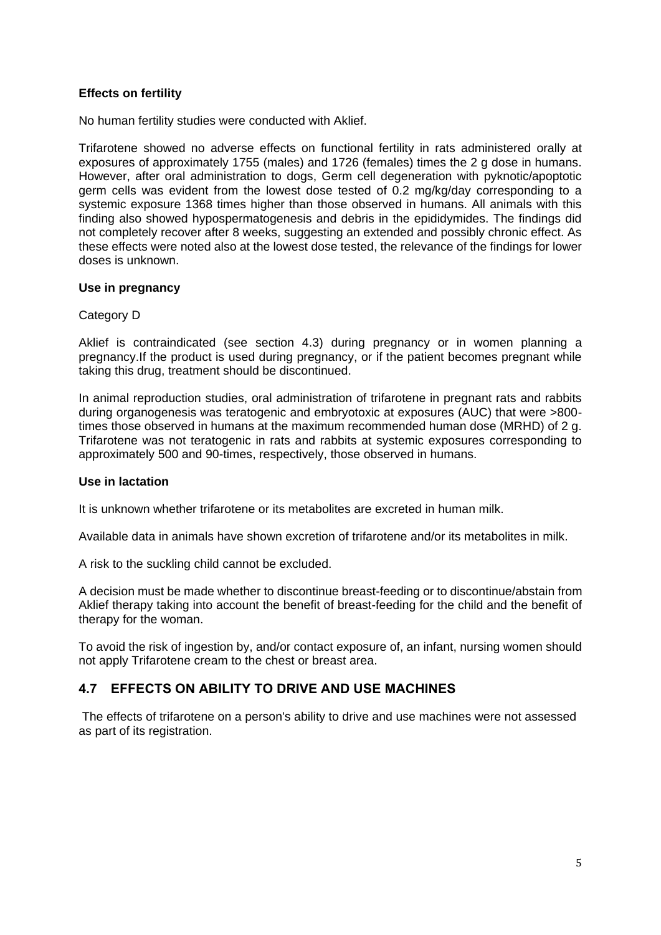#### **Effects on fertility**

No human fertility studies were conducted with Aklief.

Trifarotene showed no adverse effects on functional fertility in rats administered orally at exposures of approximately 1755 (males) and 1726 (females) times the 2 g dose in humans. However, after oral administration to dogs, Germ cell degeneration with pyknotic/apoptotic germ cells was evident from the lowest dose tested of 0.2 mg/kg/day corresponding to a systemic exposure 1368 times higher than those observed in humans. All animals with this finding also showed hypospermatogenesis and debris in the epididymides. The findings did not completely recover after 8 weeks, suggesting an extended and possibly chronic effect. As these effects were noted also at the lowest dose tested, the relevance of the findings for lower doses is unknown.

#### **Use in pregnancy**

#### Category D

Aklief is contraindicated (see section 4.3) during pregnancy or in women planning a pregnancy.If the product is used during pregnancy, or if the patient becomes pregnant while taking this drug, treatment should be discontinued.

In animal reproduction studies, oral administration of trifarotene in pregnant rats and rabbits during organogenesis was teratogenic and embryotoxic at exposures (AUC) that were >800 times those observed in humans at the maximum recommended human dose (MRHD) of 2 g. Trifarotene was not teratogenic in rats and rabbits at systemic exposures corresponding to approximately 500 and 90-times, respectively, those observed in humans.

#### **Use in lactation**

It is unknown whether trifarotene or its metabolites are excreted in human milk.

Available data in animals have shown excretion of trifarotene and/or its metabolites in milk.

A risk to the suckling child cannot be excluded.

A decision must be made whether to discontinue breast-feeding or to discontinue/abstain from Aklief therapy taking into account the benefit of breast-feeding for the child and the benefit of therapy for the woman.

To avoid the risk of ingestion by, and/or contact exposure of, an infant, nursing women should not apply Trifarotene cream to the chest or breast area.

### **4.7 EFFECTS ON ABILITY TO DRIVE AND USE MACHINES**

The effects of trifarotene on a person's ability to drive and use machines were not assessed as part of its registration.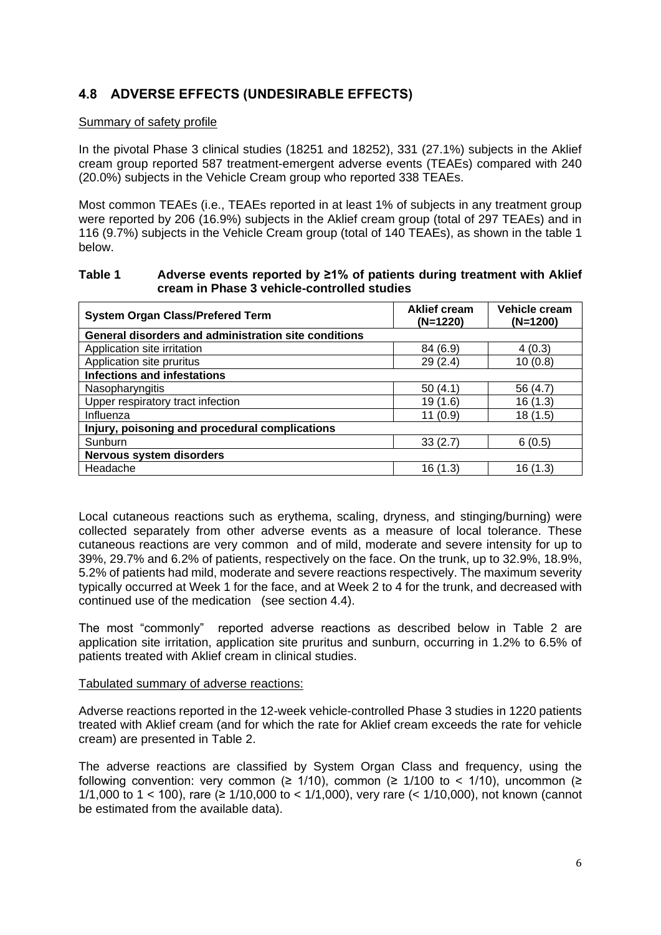## **4.8 ADVERSE EFFECTS (UNDESIRABLE EFFECTS)**

#### Summary of safety profile

In the pivotal Phase 3 clinical studies (18251 and 18252), 331 (27.1%) subjects in the Aklief cream group reported 587 treatment-emergent adverse events (TEAEs) compared with 240 (20.0%) subjects in the Vehicle Cream group who reported 338 TEAEs.

Most common TEAEs (i.e., TEAEs reported in at least 1% of subjects in any treatment group were reported by 206 (16.9%) subjects in the Aklief cream group (total of 297 TEAEs) and in 116 (9.7%) subjects in the Vehicle Cream group (total of 140 TEAEs), as shown in the table 1 below.

#### **Table 1 Adverse events reported by ≥1% of patients during treatment with Aklief cream in Phase 3 vehicle-controlled studies**

| <b>System Organ Class/Prefered Term</b>              | Vehicle cream<br><b>Aklief cream</b><br>(N=1220)<br>$(N=1200)$ |          |
|------------------------------------------------------|----------------------------------------------------------------|----------|
| General disorders and administration site conditions |                                                                |          |
| Application site irritation                          | 84 (6.9)                                                       | 4(0.3)   |
| Application site pruritus                            | 29(2.4)                                                        | 10(0.8)  |
| <b>Infections and infestations</b>                   |                                                                |          |
| Nasopharyngitis                                      | 50(4.1)                                                        | 56 (4.7) |
| Upper respiratory tract infection                    | 19 (1.6)                                                       | 16 (1.3) |
| Influenza                                            | 11(0.9)                                                        | 18 (1.5) |
| Injury, poisoning and procedural complications       |                                                                |          |
| Sunburn                                              | 33(2.7)                                                        | 6(0.5)   |
| Nervous system disorders                             |                                                                |          |
| Headache                                             | 16 (1.3)                                                       | 16 (1.3) |

Local cutaneous reactions such as erythema, scaling, dryness, and stinging/burning) were collected separately from other adverse events as a measure of local tolerance. These cutaneous reactions are very common and of mild, moderate and severe intensity for up to 39%, 29.7% and 6.2% of patients, respectively on the face. On the trunk, up to 32.9%, 18.9%, 5.2% of patients had mild, moderate and severe reactions respectively. The maximum severity typically occurred at Week 1 for the face, and at Week 2 to 4 for the trunk, and decreased with continued use of the medication (see section 4.4).

The most "commonly" reported adverse reactions as described below in Table 2 are application site irritation, application site pruritus and sunburn, occurring in 1.2% to 6.5% of patients treated with Aklief cream in clinical studies.

#### Tabulated summary of adverse reactions:

Adverse reactions reported in the 12-week vehicle-controlled Phase 3 studies in 1220 patients treated with Aklief cream (and for which the rate for Aklief cream exceeds the rate for vehicle cream) are presented in Table 2.

The adverse reactions are classified by System Organ Class and frequency, using the following convention: very common ( $\geq$  1/10), common ( $\geq$  1/100 to < 1/10), uncommon ( $\geq$ 1/1,000 to 1 < 100), rare (≥ 1/10,000 to < 1/1,000), very rare (< 1/10,000), not known (cannot be estimated from the available data).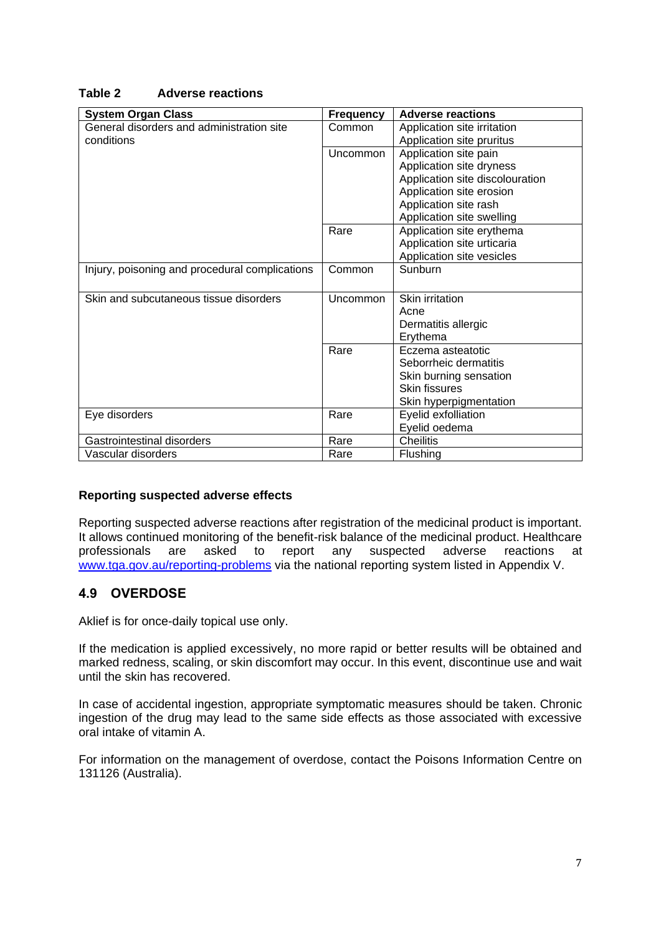#### **Table 2 Adverse reactions**

| <b>System Organ Class</b>                      | <b>Frequency</b> | <b>Adverse reactions</b>        |
|------------------------------------------------|------------------|---------------------------------|
| General disorders and administration site      | Common           | Application site irritation     |
| conditions                                     |                  | Application site pruritus       |
|                                                | Uncommon         | Application site pain           |
|                                                |                  | Application site dryness        |
|                                                |                  | Application site discolouration |
|                                                |                  | Application site erosion        |
|                                                |                  | Application site rash           |
|                                                |                  | Application site swelling       |
|                                                | Rare             | Application site erythema       |
|                                                |                  | Application site urticaria      |
|                                                |                  | Application site vesicles       |
| Injury, poisoning and procedural complications | Common           | Sunburn                         |
|                                                |                  |                                 |
| Skin and subcutaneous tissue disorders         | Uncommon         | Skin irritation                 |
|                                                |                  | Acne                            |
|                                                |                  | Dermatitis allergic             |
|                                                |                  | Erythema                        |
|                                                | Rare             | Eczema asteatotic               |
|                                                |                  | Seborrheic dermatitis           |
|                                                |                  | Skin burning sensation          |
|                                                |                  | <b>Skin fissures</b>            |
|                                                |                  | Skin hyperpigmentation          |
| Eye disorders                                  | Rare             | Eyelid exfolliation             |
|                                                |                  | Eyelid oedema                   |
| Gastrointestinal disorders                     | Rare             | <b>Cheilitis</b>                |
| Vascular disorders                             | Rare             | Flushing                        |

#### **Reporting suspected adverse effects**

Reporting suspected adverse reactions after registration of the medicinal product is important. It allows continued monitoring of the benefit-risk balance of the medicinal product. Healthcare professionals are asked to report any suspected adverse reactions at [www.tga.gov.au/reporting-problems](http://www.tga.gov.au/reporting-problems) via the national reporting system listed in Appendix V.

### **4.9 OVERDOSE**

Aklief is for once-daily topical use only.

If the medication is applied excessively, no more rapid or better results will be obtained and marked redness, scaling, or skin discomfort may occur. In this event, discontinue use and wait until the skin has recovered.

In case of accidental ingestion, appropriate symptomatic measures should be taken. Chronic ingestion of the drug may lead to the same side effects as those associated with excessive oral intake of vitamin A.

For information on the management of overdose, contact the Poisons Information Centre on 131126 (Australia).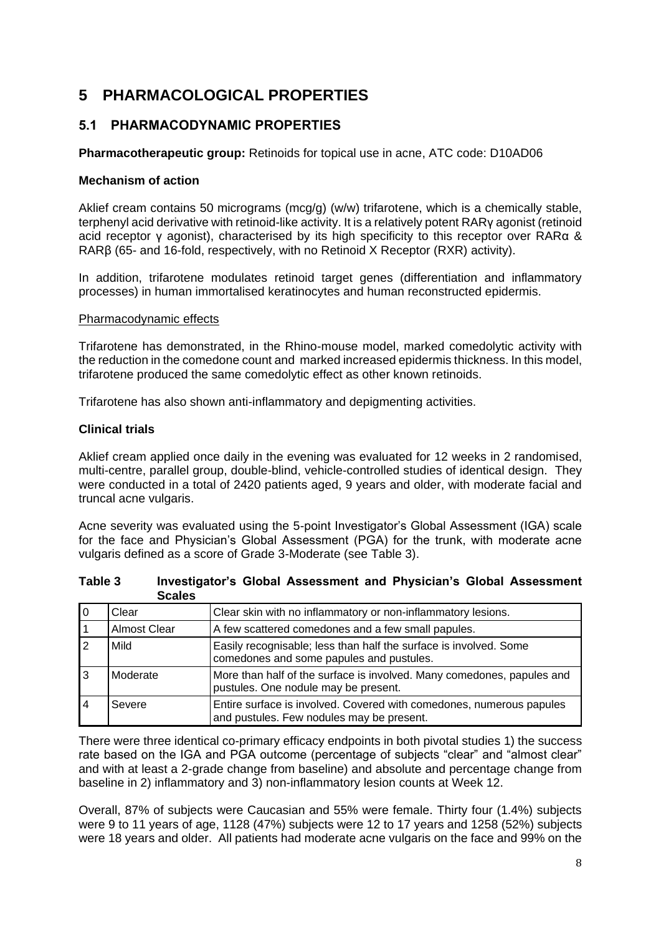# **5 PHARMACOLOGICAL PROPERTIES**

## **5.1 PHARMACODYNAMIC PROPERTIES**

**Pharmacotherapeutic group:** Retinoids for topical use in acne, ATC code: D10AD06

#### **Mechanism of action**

Aklief cream contains 50 micrograms (mcg/g) (w/w) trifarotene, which is a chemically stable, terphenyl acid derivative with retinoid-like activity. It is a relatively potent RARγ agonist (retinoid acid receptor γ agonist), characterised by its high specificity to this receptor over RARα & RARβ (65- and 16-fold, respectively, with no Retinoid X Receptor (RXR) activity).

In addition, trifarotene modulates retinoid target genes (differentiation and inflammatory processes) in human immortalised keratinocytes and human reconstructed epidermis.

#### Pharmacodynamic effects

Trifarotene has demonstrated, in the Rhino-mouse model, marked comedolytic activity with the reduction in the comedone count and marked increased epidermis thickness. In this model, trifarotene produced the same comedolytic effect as other known retinoids.

Trifarotene has also shown anti-inflammatory and depigmenting activities.

#### **Clinical trials**

Aklief cream applied once daily in the evening was evaluated for 12 weeks in 2 randomised, multi-centre, parallel group, double-blind, vehicle-controlled studies of identical design. They were conducted in a total of 2420 patients aged, 9 years and older, with moderate facial and truncal acne vulgaris.

Acne severity was evaluated using the 5-point Investigator's Global Assessment (IGA) scale for the face and Physician's Global Assessment (PGA) for the trunk, with moderate acne vulgaris defined as a score of Grade 3-Moderate (see Table 3).

| Stales              |                                                                                                                   |
|---------------------|-------------------------------------------------------------------------------------------------------------------|
| Clear               | Clear skin with no inflammatory or non-inflammatory lesions.                                                      |
| <b>Almost Clear</b> | A few scattered comedones and a few small papules.                                                                |
| Mild                | Easily recognisable; less than half the surface is involved. Some<br>comedones and some papules and pustules.     |
| Moderate            | More than half of the surface is involved. Many comedones, papules and<br>pustules. One nodule may be present.    |
| Severe              | Entire surface is involved. Covered with comedones, numerous papules<br>and pustules. Few nodules may be present. |

| Table 3 | Investigator's Global Assessment and Physician's Global Assessment |  |
|---------|--------------------------------------------------------------------|--|
|         | <b>Scales</b>                                                      |  |

There were three identical co-primary efficacy endpoints in both pivotal studies 1) the success rate based on the IGA and PGA outcome (percentage of subjects "clear" and "almost clear" and with at least a 2-grade change from baseline) and absolute and percentage change from baseline in 2) inflammatory and 3) non-inflammatory lesion counts at Week 12.

Overall, 87% of subjects were Caucasian and 55% were female. Thirty four (1.4%) subjects were 9 to 11 years of age, 1128 (47%) subjects were 12 to 17 years and 1258 (52%) subjects were 18 years and older. All patients had moderate acne vulgaris on the face and 99% on the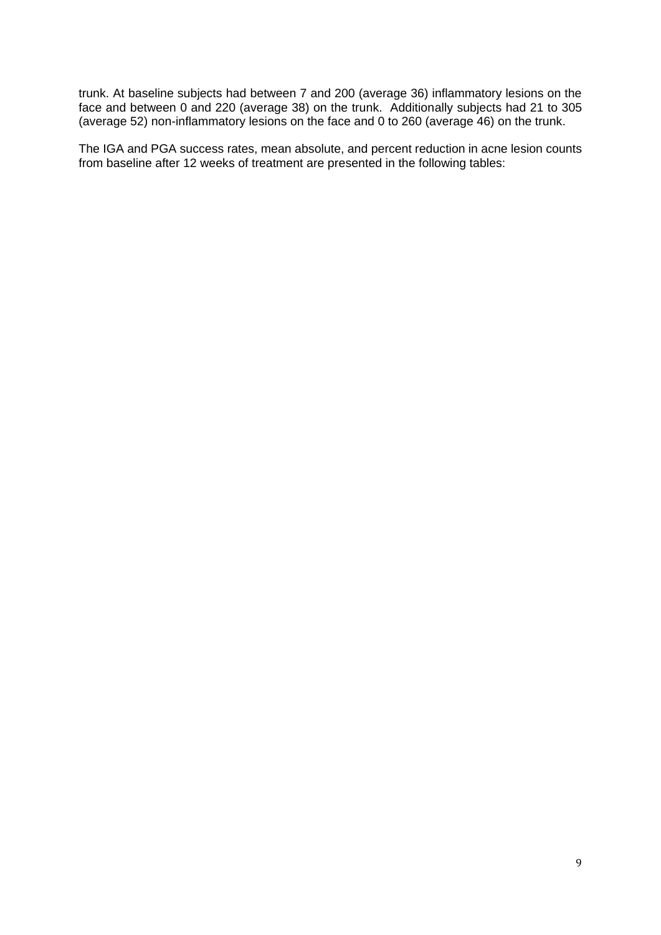trunk. At baseline subjects had between 7 and 200 (average 36) inflammatory lesions on the face and between 0 and 220 (average 38) on the trunk. Additionally subjects had 21 to 305 (average 52) non-inflammatory lesions on the face and 0 to 260 (average 46) on the trunk.

The IGA and PGA success rates, mean absolute, and percent reduction in acne lesion counts from baseline after 12 weeks of treatment are presented in the following tables: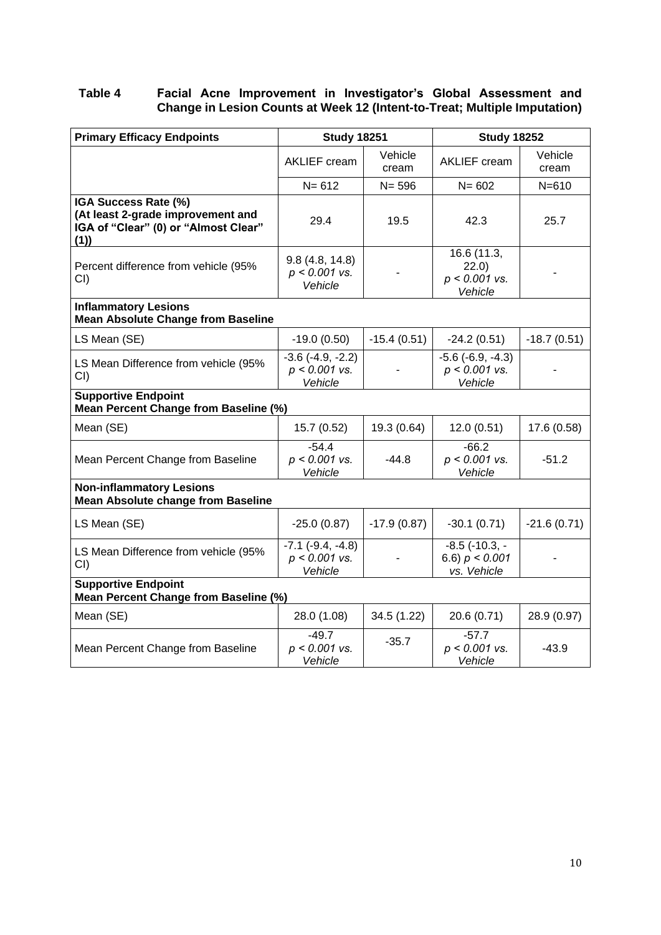#### **Table 4 Facial Acne Improvement in Investigator's Global Assessment and Change in Lesion Counts at Week 12 (Intent-to-Treat; Multiple Imputation)**

| <b>Primary Efficacy Endpoints</b>                                                                        | <b>Study 18251</b>                                  |                  | <b>Study 18252</b>                                        |                  |
|----------------------------------------------------------------------------------------------------------|-----------------------------------------------------|------------------|-----------------------------------------------------------|------------------|
|                                                                                                          | <b>AKLIEF</b> cream                                 | Vehicle<br>cream | <b>AKLIEF</b> cream                                       | Vehicle<br>cream |
|                                                                                                          | $N = 612$                                           | $N = 596$        | $N = 602$                                                 | $N = 610$        |
| IGA Success Rate (%)<br>(At least 2-grade improvement and<br>IGA of "Clear" (0) or "Almost Clear"<br>(1) | 29.4                                                | 19.5             | 42.3                                                      | 25.7             |
| Percent difference from vehicle (95%<br>CI()                                                             | 9.8(4.8, 14.8)<br>$p < 0.001$ vs.<br>Vehicle        |                  | 16.6 (11.3,<br>22.0)<br>$p < 0.001$ vs.<br>Vehicle        |                  |
| <b>Inflammatory Lesions</b><br><b>Mean Absolute Change from Baseline</b>                                 |                                                     |                  |                                                           |                  |
| LS Mean (SE)                                                                                             | $-19.0(0.50)$                                       | $-15.4(0.51)$    | $-24.2(0.51)$                                             | $-18.7(0.51)$    |
| LS Mean Difference from vehicle (95%<br>CI()                                                             | $-3.6$ $(-4.9, -2.2)$<br>$p < 0.001$ vs.<br>Vehicle |                  | $-5.6$ $(-6.9, -4.3)$<br>$p < 0.001$ vs.<br>Vehicle       |                  |
| <b>Supportive Endpoint</b><br>Mean Percent Change from Baseline (%)                                      |                                                     |                  |                                                           |                  |
| Mean (SE)                                                                                                | 15.7 (0.52)                                         | 19.3 (0.64)      | 12.0(0.51)                                                | 17.6 (0.58)      |
| Mean Percent Change from Baseline                                                                        | $-54.4$<br>$p < 0.001$ vs.<br>Vehicle               | $-44.8$          | $-66.2$<br>$p < 0.001$ vs.<br>Vehicle                     | $-51.2$          |
| <b>Non-inflammatory Lesions</b><br><b>Mean Absolute change from Baseline</b>                             |                                                     |                  |                                                           |                  |
| LS Mean (SE)                                                                                             | $-25.0(0.87)$                                       | $-17.9(0.87)$    | $-30.1(0.71)$                                             | $-21.6(0.71)$    |
| LS Mean Difference from vehicle (95%<br>CI()                                                             | $-7.1$ $(-9.4, -4.8)$<br>$p < 0.001$ vs.<br>Vehicle |                  | $-8.5$ ( $-10.3$ , $-$<br>6.6) $p < 0.001$<br>vs. Vehicle |                  |
| <b>Supportive Endpoint</b><br>Mean Percent Change from Baseline (%)                                      |                                                     |                  |                                                           |                  |
| Mean (SE)                                                                                                | 28.0 (1.08)                                         | 34.5 (1.22)      | 20.6 (0.71)                                               | 28.9 (0.97)      |
| Mean Percent Change from Baseline                                                                        | $-49.7$<br>$p < 0.001$ vs.<br>Vehicle               | $-35.7$          | $-57.7$<br>$p < 0.001$ vs.<br>Vehicle                     | $-43.9$          |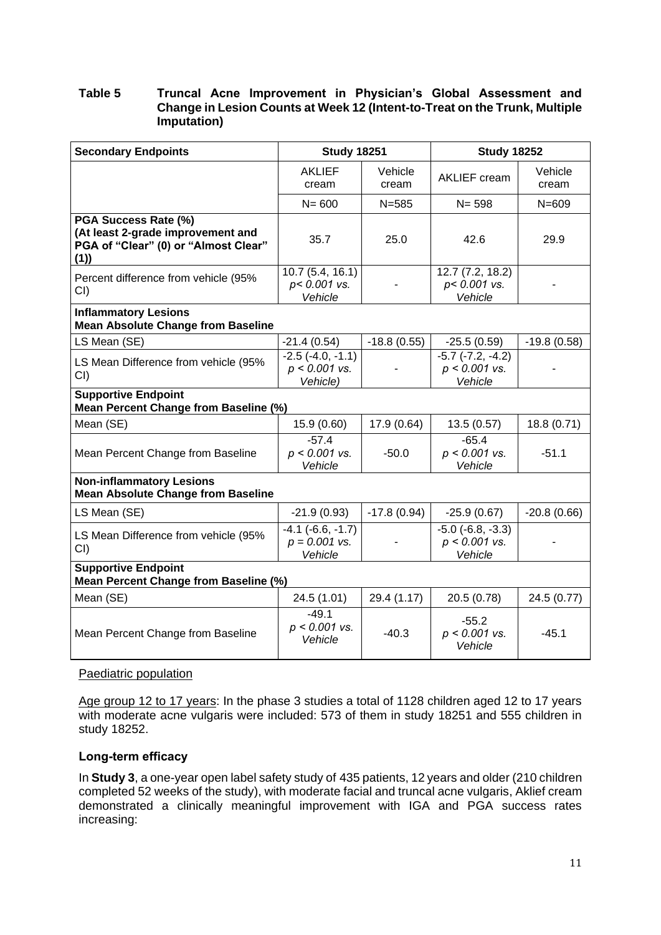#### **Table 5 Truncal Acne Improvement in Physician's Global Assessment and Change in Lesion Counts at Week 12 (Intent-to-Treat on the Trunk, Multiple Imputation)**

| <b>Secondary Endpoints</b>                                                                               | <b>Study 18251</b>                                   |                  | <b>Study 18252</b>                                       |                  |
|----------------------------------------------------------------------------------------------------------|------------------------------------------------------|------------------|----------------------------------------------------------|------------------|
|                                                                                                          | <b>AKLIEF</b><br>cream                               | Vehicle<br>cream | <b>AKLIEF</b> cream                                      | Vehicle<br>cream |
|                                                                                                          | $N = 600$                                            | $N = 585$        | $N = 598$                                                | $N = 609$        |
| PGA Success Rate (%)<br>(At least 2-grade improvement and<br>PGA of "Clear" (0) or "Almost Clear"<br>(1) | 35.7                                                 | 25.0             | 42.6                                                     | 29.9             |
| Percent difference from vehicle (95%<br>CI()                                                             | 10.7(5.4, 16.1)<br>p< 0.001 vs.<br>Vehicle           |                  | 12.7 (7.2, 18.2)<br>p< 0.001 vs.<br>Vehicle              |                  |
| <b>Inflammatory Lesions</b><br><b>Mean Absolute Change from Baseline</b>                                 |                                                      |                  |                                                          |                  |
| LS Mean (SE)                                                                                             | $-21.4(0.54)$                                        | $-18.8(0.55)$    | $-25.5(0.59)$                                            | $-19.8(0.58)$    |
| LS Mean Difference from vehicle (95%<br>CI)                                                              | $-2.5$ $(-4.0, -1.1)$<br>$p < 0.001$ vs.<br>Vehicle) |                  | $-5.7$ $(-7.2, -4.2)$<br>$p < 0.001$ vs.<br>Vehicle      |                  |
| <b>Supportive Endpoint</b><br>Mean Percent Change from Baseline (%)                                      |                                                      |                  |                                                          |                  |
| Mean (SE)                                                                                                | 15.9 (0.60)                                          | 17.9 (0.64)      | 13.5(0.57)                                               | 18.8 (0.71)      |
| Mean Percent Change from Baseline                                                                        | $-57.4$<br>$p < 0.001$ vs.<br>Vehicle                | $-50.0$          | $-65.4$<br>$p < 0.001$ vs.<br>Vehicle                    | $-51.1$          |
| <b>Non-inflammatory Lesions</b><br><b>Mean Absolute Change from Baseline</b>                             |                                                      |                  |                                                          |                  |
| LS Mean (SE)                                                                                             | $-21.9(0.93)$                                        | $-17.8(0.94)$    | $-25.9(0.67)$                                            | $-20.8(0.66)$    |
| LS Mean Difference from vehicle (95%<br>CI()                                                             | $-4.1$ $(-6.6, -1.7)$<br>$p = 0.001$ vs.<br>Vehicle  |                  | $-5.0$ ( $-6.8$ , $-3.3$ )<br>$p < 0.001$ vs.<br>Vehicle |                  |
| <b>Supportive Endpoint</b><br>Mean Percent Change from Baseline (%)                                      |                                                      |                  |                                                          |                  |
| Mean (SE)                                                                                                | 24.5 (1.01)                                          | 29.4 (1.17)      | 20.5 (0.78)                                              | 24.5 (0.77)      |
| Mean Percent Change from Baseline                                                                        | $-49.1$<br>$p < 0.001$ vs.<br>Vehicle                | $-40.3$          | $-55.2$<br>$p < 0.001$ vs.<br>Vehicle                    | $-45.1$          |

#### Paediatric population

Age group 12 to 17 years: In the phase 3 studies a total of 1128 children aged 12 to 17 years with moderate acne vulgaris were included: 573 of them in study 18251 and 555 children in study 18252.

#### **Long-term efficacy**

In **Study 3**, a one-year open label safety study of 435 patients, 12 years and older (210 children completed 52 weeks of the study), with moderate facial and truncal acne vulgaris, Aklief cream demonstrated a clinically meaningful improvement with IGA and PGA success rates increasing: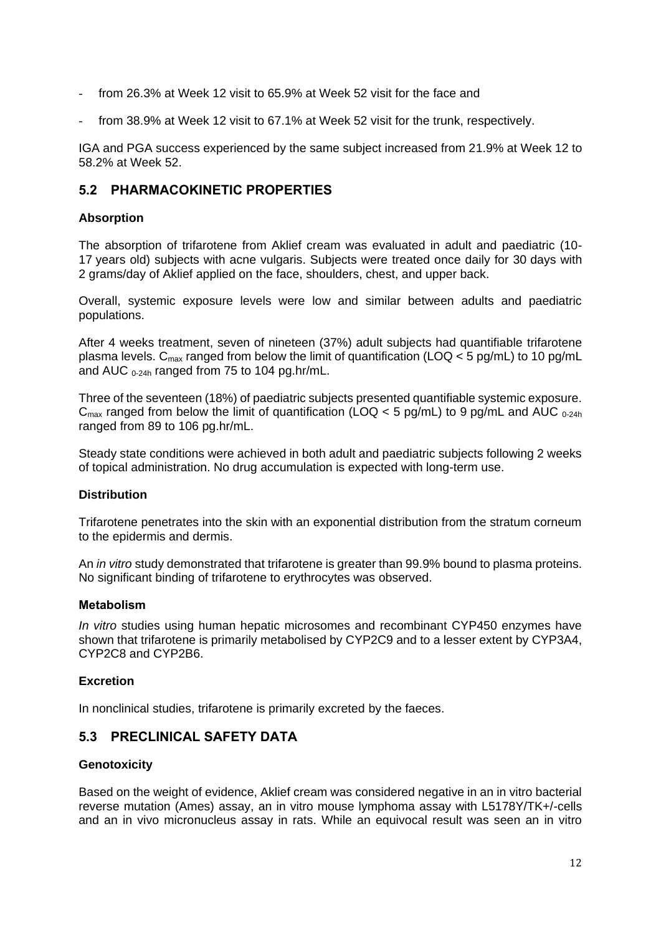- from 26.3% at Week 12 visit to 65.9% at Week 52 visit for the face and
- from 38.9% at Week 12 visit to 67.1% at Week 52 visit for the trunk, respectively.

IGA and PGA success experienced by the same subject increased from 21.9% at Week 12 to 58.2% at Week 52.

## **5.2 PHARMACOKINETIC PROPERTIES**

#### **Absorption**

The absorption of trifarotene from Aklief cream was evaluated in adult and paediatric (10- 17 years old) subjects with acne vulgaris. Subjects were treated once daily for 30 days with 2 grams/day of Aklief applied on the face, shoulders, chest, and upper back.

Overall, systemic exposure levels were low and similar between adults and paediatric populations.

After 4 weeks treatment, seven of nineteen (37%) adult subjects had quantifiable trifarotene plasma levels.  $C_{\text{max}}$  ranged from below the limit of quantification (LOQ < 5 pg/mL) to 10 pg/mL and AUC  $_{0.24h}$  ranged from 75 to 104 pg.hr/mL.

Three of the seventeen (18%) of paediatric subjects presented quantifiable systemic exposure.  $C_{\text{max}}$  ranged from below the limit of quantification (LOQ  $<$  5 pg/mL) to 9 pg/mL and AUC  $_{0.24h}$ ranged from 89 to 106 pg.hr/mL.

Steady state conditions were achieved in both adult and paediatric subjects following 2 weeks of topical administration. No drug accumulation is expected with long-term use.

#### **Distribution**

Trifarotene penetrates into the skin with an exponential distribution from the stratum corneum to the epidermis and dermis.

An *in vitro* study demonstrated that trifarotene is greater than 99.9% bound to plasma proteins. No significant binding of trifarotene to erythrocytes was observed.

#### **Metabolism**

*In vitro* studies using human hepatic microsomes and recombinant CYP450 enzymes have shown that trifarotene is primarily metabolised by CYP2C9 and to a lesser extent by CYP3A4, CYP2C8 and CYP2B6.

#### **Excretion**

In nonclinical studies, trifarotene is primarily excreted by the faeces.

### **5.3 PRECLINICAL SAFETY DATA**

#### **Genotoxicity**

Based on the weight of evidence, Aklief cream was considered negative in an in vitro bacterial reverse mutation (Ames) assay, an in vitro mouse lymphoma assay with L5178Y/TK+/-cells and an in vivo micronucleus assay in rats. While an equivocal result was seen an in vitro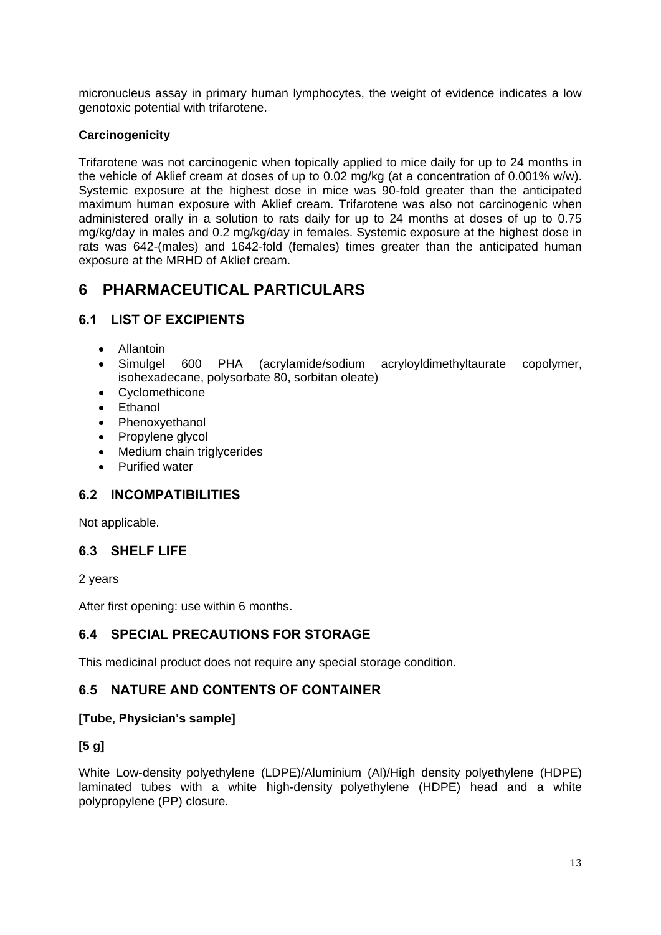micronucleus assay in primary human lymphocytes, the weight of evidence indicates a low genotoxic potential with trifarotene.

### **Carcinogenicity**

Trifarotene was not carcinogenic when topically applied to mice daily for up to 24 months in the vehicle of Aklief cream at doses of up to 0.02 mg/kg (at a concentration of 0.001% w/w). Systemic exposure at the highest dose in mice was 90-fold greater than the anticipated maximum human exposure with Aklief cream. Trifarotene was also not carcinogenic when administered orally in a solution to rats daily for up to 24 months at doses of up to 0.75 mg/kg/day in males and 0.2 mg/kg/day in females. Systemic exposure at the highest dose in rats was 642-(males) and 1642-fold (females) times greater than the anticipated human exposure at the MRHD of Aklief cream.

# **6 PHARMACEUTICAL PARTICULARS**

## **6.1 LIST OF EXCIPIENTS**

- Allantoin
- Simulgel 600 PHA (acrylamide/sodium acryloyldimethyltaurate copolymer, isohexadecane, polysorbate 80, sorbitan oleate)
- Cyclomethicone
- Ethanol
- Phenoxyethanol
- Propylene glycol
- Medium chain triglycerides
- Purified water

## **6.2 INCOMPATIBILITIES**

Not applicable.

## **6.3 SHELF LIFE**

2 years

After first opening: use within 6 months.

## **6.4 SPECIAL PRECAUTIONS FOR STORAGE**

This medicinal product does not require any special storage condition.

### **6.5 NATURE AND CONTENTS OF CONTAINER**

#### **[Tube, Physician's sample]**

### **[5 g]**

White Low-density polyethylene (LDPE)/Aluminium (Al)/High density polyethylene (HDPE) laminated tubes with a white high-density polyethylene (HDPE) head and a white polypropylene (PP) closure.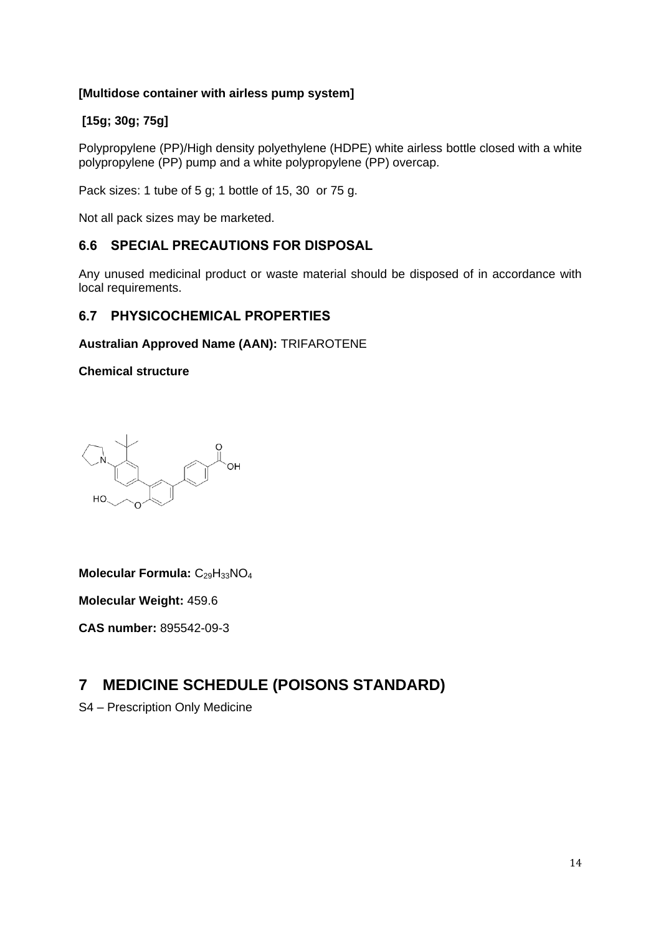## **[Multidose container with airless pump system]**

## **[15g; 30g; 75g]**

Polypropylene (PP)/High density polyethylene (HDPE) white airless bottle closed with a white polypropylene (PP) pump and a white polypropylene (PP) overcap.

Pack sizes: 1 tube of 5 g; 1 bottle of 15, 30 or 75 g.

Not all pack sizes may be marketed.

## **6.6 SPECIAL PRECAUTIONS FOR DISPOSAL**

Any unused medicinal product or waste material should be disposed of in accordance with local requirements.

### **6.7 PHYSICOCHEMICAL PROPERTIES**

#### **Australian Approved Name (AAN):** TRIFAROTENE

**Chemical structure**

**OH**  $HO$ 

**Molecular Formula: C<sub>29</sub>H<sub>33</sub>NO<sub>4</sub>** 

**Molecular Weight:** 459.6

**CAS number:** 895542-09-3

# **7 MEDICINE SCHEDULE (POISONS STANDARD)**

S4 – Prescription Only Medicine